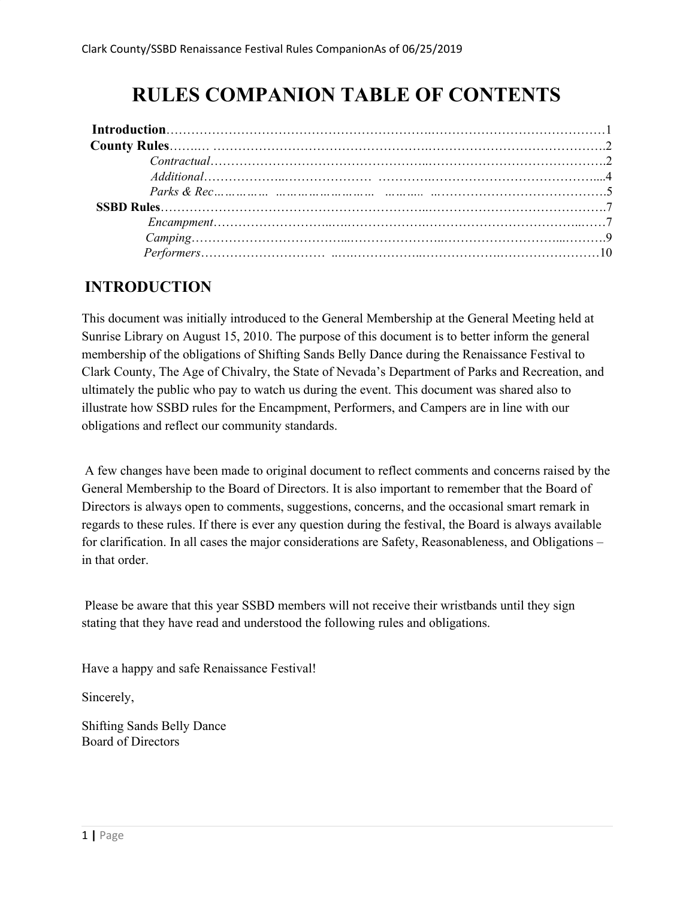# **RULES COMPANION TABLE OF CONTENTS**

### **INTRODUCTION**

This document was initially introduced to the General Membership at the General Meeting held at Sunrise Library on August 15, 2010. The purpose of this document is to better inform the general membership of the obligations of Shifting Sands Belly Dance during the Renaissance Festival to Clark County, The Age of Chivalry, the State of Nevada's Department of Parks and Recreation, and ultimately the public who pay to watch us during the event. This document was shared also to illustrate how SSBD rules for the Encampment, Performers, and Campers are in line with our obligations and reflect our community standards.

A few changes have been made to original document to reflect comments and concerns raised by the General Membership to the Board of Directors. It is also important to remember that the Board of Directors is always open to comments, suggestions, concerns, and the occasional smart remark in regards to these rules. If there is ever any question during the festival, the Board is always available for clarification. In all cases the major considerations are Safety, Reasonableness, and Obligations – in that order.

Please be aware that this year SSBD members will not receive their wristbands until they sign stating that they have read and understood the following rules and obligations.

Have a happy and safe Renaissance Festival!

Sincerely,

Shifting Sands Belly Dance Board of Directors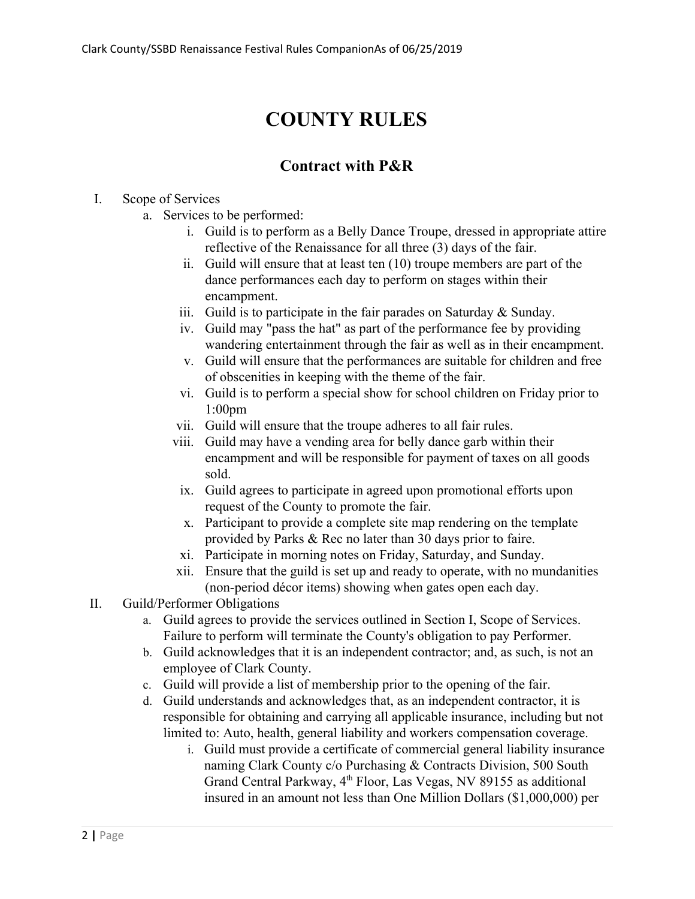# **COUNTY RULES**

# **Contract with P&R**

#### I. Scope of Services

- a. Services to be performed:
	- i. Guild is to perform as a Belly Dance Troupe, dressed in appropriate attire reflective of the Renaissance for all three (3) days of the fair.
	- ii. Guild will ensure that at least ten (10) troupe members are part of the dance performances each day to perform on stages within their encampment.
	- iii. Guild is to participate in the fair parades on Saturday  $\&$  Sunday.
	- iv. Guild may "pass the hat" as part of the performance fee by providing wandering entertainment through the fair as well as in their encampment.
	- v. Guild will ensure that the performances are suitable for children and free of obscenities in keeping with the theme of the fair.
	- vi. Guild is to perform a special show for school children on Friday prior to 1:00pm
	- vii. Guild will ensure that the troupe adheres to all fair rules.
	- viii. Guild may have a vending area for belly dance garb within their encampment and will be responsible for payment of taxes on all goods sold.
	- ix. Guild agrees to participate in agreed upon promotional efforts upon request of the County to promote the fair.
	- x. Participant to provide a complete site map rendering on the template provided by Parks & Rec no later than 30 days prior to faire.
	- xi. Participate in morning notes on Friday, Saturday, and Sunday.
	- xii. Ensure that the guild is set up and ready to operate, with no mundanities (non-period décor items) showing when gates open each day.
- II. Guild/Performer Obligations
	- a. Guild agrees to provide the services outlined in Section I, Scope of Services. Failure to perform will terminate the County's obligation to pay Performer.
	- b. Guild acknowledges that it is an independent contractor; and, as such, is not an employee of Clark County.
	- c. Guild will provide a list of membership prior to the opening of the fair.
	- d. Guild understands and acknowledges that, as an independent contractor, it is responsible for obtaining and carrying all applicable insurance, including but not limited to: Auto, health, general liability and workers compensation coverage.
		- i. Guild must provide a certificate of commercial general liability insurance naming Clark County c/o Purchasing & Contracts Division, 500 South Grand Central Parkway, 4<sup>th</sup> Floor, Las Vegas, NV 89155 as additional insured in an amount not less than One Million Dollars (\$1,000,000) per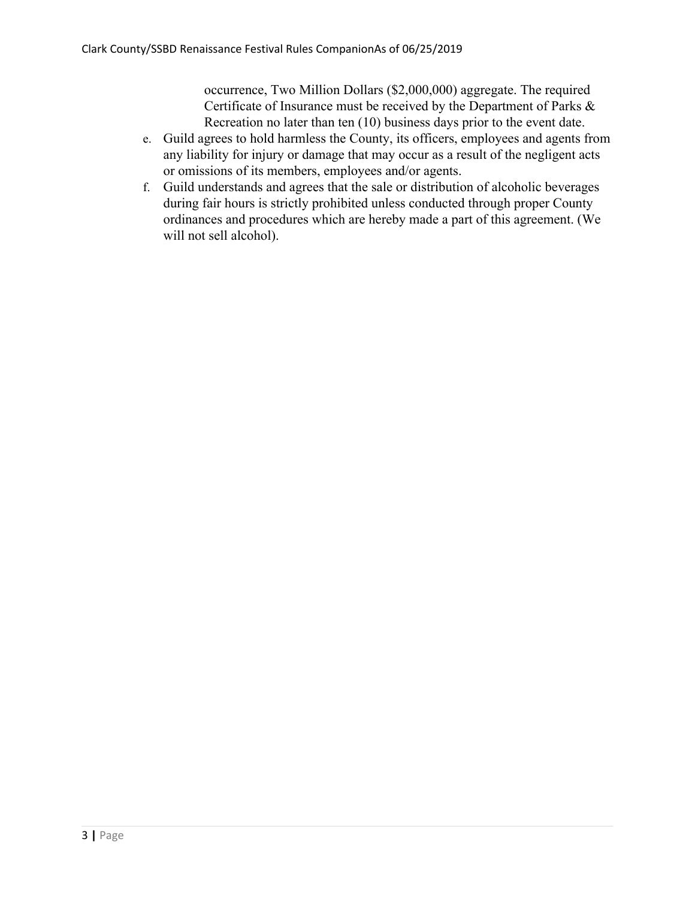occurrence, Two Million Dollars (\$2,000,000) aggregate. The required Certificate of Insurance must be received by the Department of Parks & Recreation no later than ten (10) business days prior to the event date.

- e. Guild agrees to hold harmless the County, its officers, employees and agents from any liability for injury or damage that may occur as a result of the negligent acts or omissions of its members, employees and/or agents.
- f. Guild understands and agrees that the sale or distribution of alcoholic beverages during fair hours is strictly prohibited unless conducted through proper County ordinances and procedures which are hereby made a part of this agreement. (We will not sell alcohol).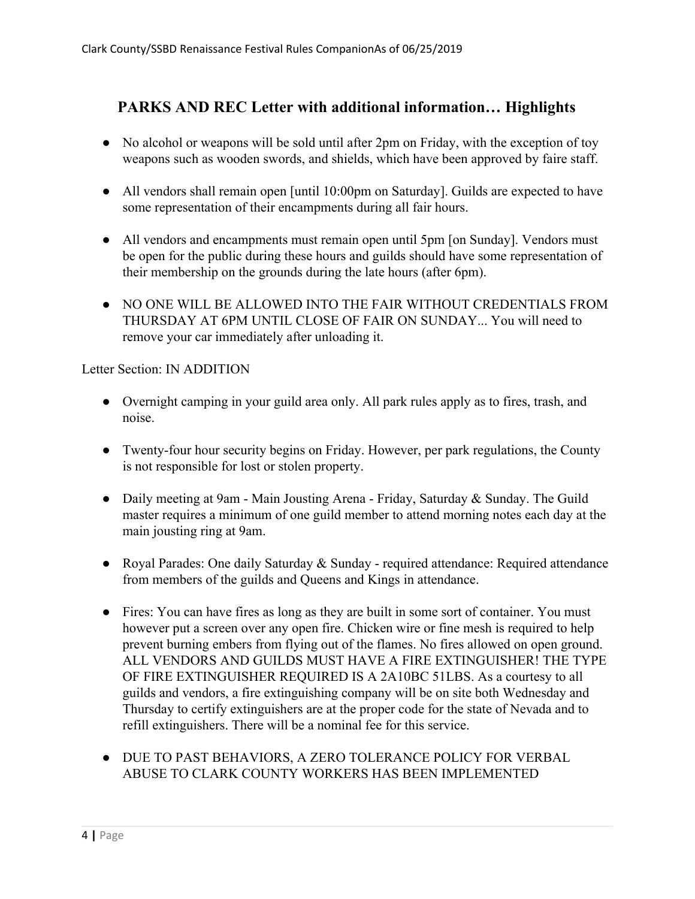#### **PARKS AND REC Letter with additional information… Highlights**

- No alcohol or weapons will be sold until after 2pm on Friday, with the exception of toy weapons such as wooden swords, and shields, which have been approved by faire staff.
- All vendors shall remain open [until 10:00pm on Saturday]. Guilds are expected to have some representation of their encampments during all fair hours.
- All vendors and encampments must remain open until 5pm [on Sunday]. Vendors must be open for the public during these hours and guilds should have some representation of their membership on the grounds during the late hours (after 6pm).
- NO ONE WILL BE ALLOWED INTO THE FAIR WITHOUT CREDENTIALS FROM THURSDAY AT 6PM UNTIL CLOSE OF FAIR ON SUNDAY... You will need to remove your car immediately after unloading it.

Letter Section: IN ADDITION

- Overnight camping in your guild area only. All park rules apply as to fires, trash, and noise.
- Twenty-four hour security begins on Friday. However, per park regulations, the County is not responsible for lost or stolen property.
- Daily meeting at 9am Main Jousting Arena Friday, Saturday & Sunday. The Guild master requires a minimum of one guild member to attend morning notes each day at the main jousting ring at 9am.
- Royal Parades: One daily Saturday & Sunday required attendance: Required attendance from members of the guilds and Queens and Kings in attendance.
- Fires: You can have fires as long as they are built in some sort of container. You must however put a screen over any open fire. Chicken wire or fine mesh is required to help prevent burning embers from flying out of the flames. No fires allowed on open ground. ALL VENDORS AND GUILDS MUST HAVE A FIRE EXTINGUISHER! THE TYPE OF FIRE EXTINGUISHER REQUIRED IS A 2A10BC 51LBS. As a courtesy to all guilds and vendors, a fire extinguishing company will be on site both Wednesday and Thursday to certify extinguishers are at the proper code for the state of Nevada and to refill extinguishers. There will be a nominal fee for this service.
- DUE TO PAST BEHAVIORS, A ZERO TOLERANCE POLICY FOR VERBAL ABUSE TO CLARK COUNTY WORKERS HAS BEEN IMPLEMENTED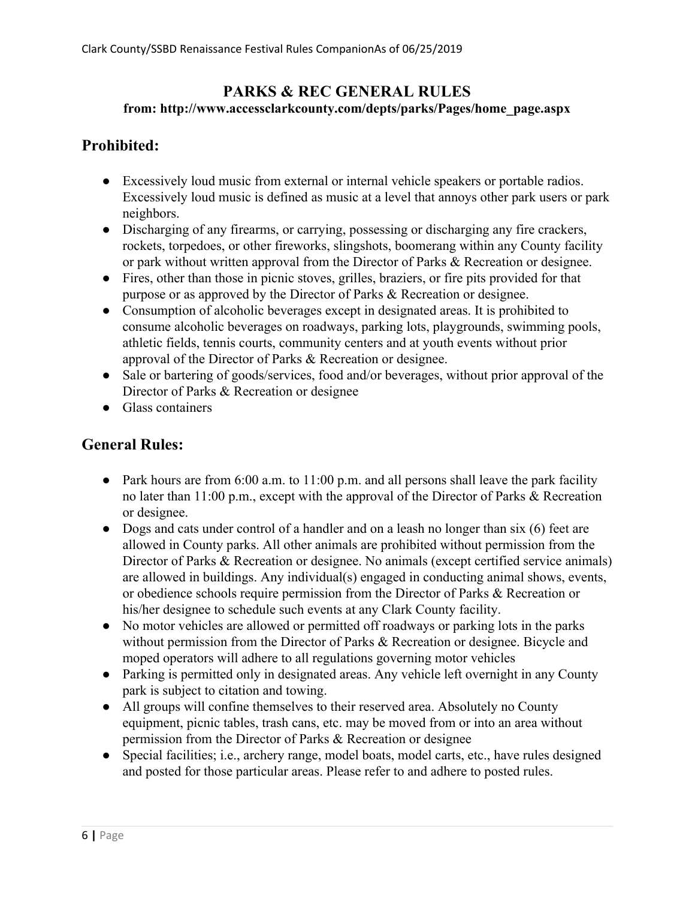#### **PARKS & REC GENERAL RULES from: http://www.accessclarkcounty.com/depts/parks/Pages/home\_page.aspx**

# **Prohibited:**

- Excessively loud music from external or internal vehicle speakers or portable radios. Excessively loud music is defined as music at a level that annoys other park users or park neighbors.
- Discharging of any firearms, or carrying, possessing or discharging any fire crackers, rockets, torpedoes, or other fireworks, slingshots, boomerang within any County facility or park without written approval from the Director of Parks & Recreation or designee.
- Fires, other than those in picnic stoves, grilles, braziers, or fire pits provided for that purpose or as approved by the Director of Parks & Recreation or designee.
- Consumption of alcoholic beverages except in designated areas. It is prohibited to consume alcoholic beverages on roadways, parking lots, playgrounds, swimming pools, athletic fields, tennis courts, community centers and at youth events without prior approval of the Director of Parks & Recreation or designee.
- Sale or bartering of goods/services, food and/or beverages, without prior approval of the Director of Parks & Recreation or designee
- Glass containers

# **General Rules:**

- Park hours are from 6:00 a.m. to 11:00 p.m. and all persons shall leave the park facility no later than 11:00 p.m., except with the approval of the Director of Parks & Recreation or designee.
- Dogs and cats under control of a handler and on a leash no longer than six (6) feet are allowed in County parks. All other animals are prohibited without permission from the Director of Parks & Recreation or designee. No animals (except certified service animals) are allowed in buildings. Any individual(s) engaged in conducting animal shows, events, or obedience schools require permission from the Director of Parks & Recreation or his/her designee to schedule such events at any Clark County facility.
- No motor vehicles are allowed or permitted off roadways or parking lots in the parks without permission from the Director of Parks & Recreation or designee. Bicycle and moped operators will adhere to all regulations governing motor vehicles
- Parking is permitted only in designated areas. Any vehicle left overnight in any County park is subject to citation and towing.
- All groups will confine themselves to their reserved area. Absolutely no County equipment, picnic tables, trash cans, etc. may be moved from or into an area without permission from the Director of Parks & Recreation or designee
- Special facilities; i.e., archery range, model boats, model carts, etc., have rules designed and posted for those particular areas. Please refer to and adhere to posted rules.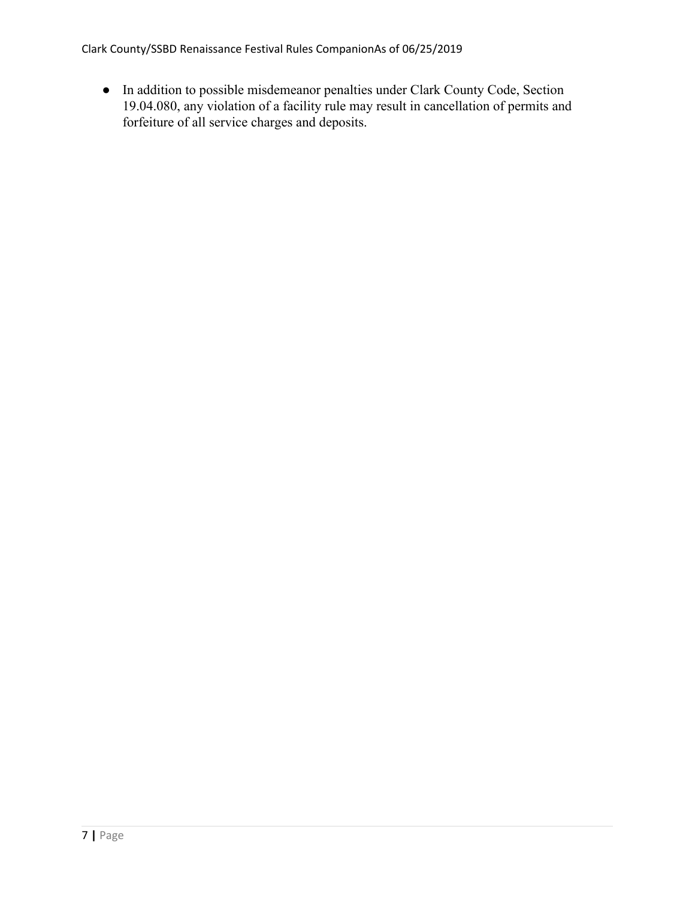Clark County/SSBD Renaissance Festival Rules CompanionAs of 06/25/2019

● In addition to possible misdemeanor penalties under Clark County Code, Section 19.04.080, any violation of a facility rule may result in cancellation of permits and forfeiture of all service charges and deposits.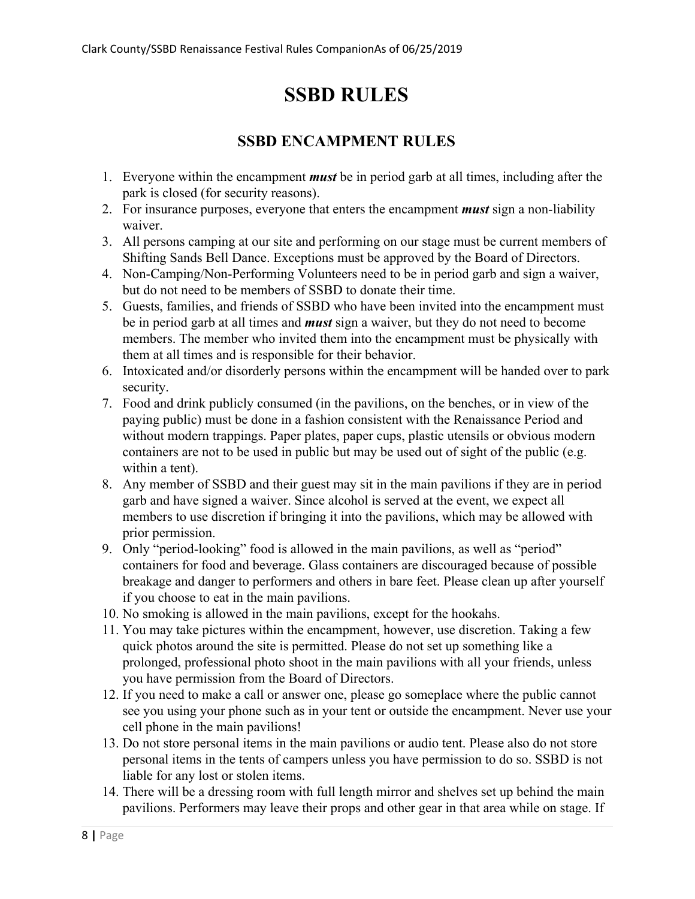# **SSBD RULES**

#### **SSBD ENCAMPMENT RULES**

- 1. Everyone within the encampment *must* be in period garb at all times, including after the park is closed (for security reasons).
- 2. For insurance purposes, everyone that enters the encampment *must* sign a non-liability waiver.
- 3. All persons camping at our site and performing on our stage must be current members of Shifting Sands Bell Dance. Exceptions must be approved by the Board of Directors.
- 4. Non-Camping/Non-Performing Volunteers need to be in period garb and sign a waiver, but do not need to be members of SSBD to donate their time.
- 5. Guests, families, and friends of SSBD who have been invited into the encampment must be in period garb at all times and *must* sign a waiver, but they do not need to become members. The member who invited them into the encampment must be physically with them at all times and is responsible for their behavior.
- 6. Intoxicated and/or disorderly persons within the encampment will be handed over to park security.
- 7. Food and drink publicly consumed (in the pavilions, on the benches, or in view of the paying public) must be done in a fashion consistent with the Renaissance Period and without modern trappings. Paper plates, paper cups, plastic utensils or obvious modern containers are not to be used in public but may be used out of sight of the public (e.g. within a tent).
- 8. Any member of SSBD and their guest may sit in the main pavilions if they are in period garb and have signed a waiver. Since alcohol is served at the event, we expect all members to use discretion if bringing it into the pavilions, which may be allowed with prior permission.
- 9. Only "period-looking" food is allowed in the main pavilions, as well as "period" containers for food and beverage. Glass containers are discouraged because of possible breakage and danger to performers and others in bare feet. Please clean up after yourself if you choose to eat in the main pavilions.
- 10. No smoking is allowed in the main pavilions, except for the hookahs.
- 11. You may take pictures within the encampment, however, use discretion. Taking a few quick photos around the site is permitted. Please do not set up something like a prolonged, professional photo shoot in the main pavilions with all your friends, unless you have permission from the Board of Directors.
- 12. If you need to make a call or answer one, please go someplace where the public cannot see you using your phone such as in your tent or outside the encampment. Never use your cell phone in the main pavilions!
- 13. Do not store personal items in the main pavilions or audio tent. Please also do not store personal items in the tents of campers unless you have permission to do so. SSBD is not liable for any lost or stolen items.
- 14. There will be a dressing room with full length mirror and shelves set up behind the main pavilions. Performers may leave their props and other gear in that area while on stage. If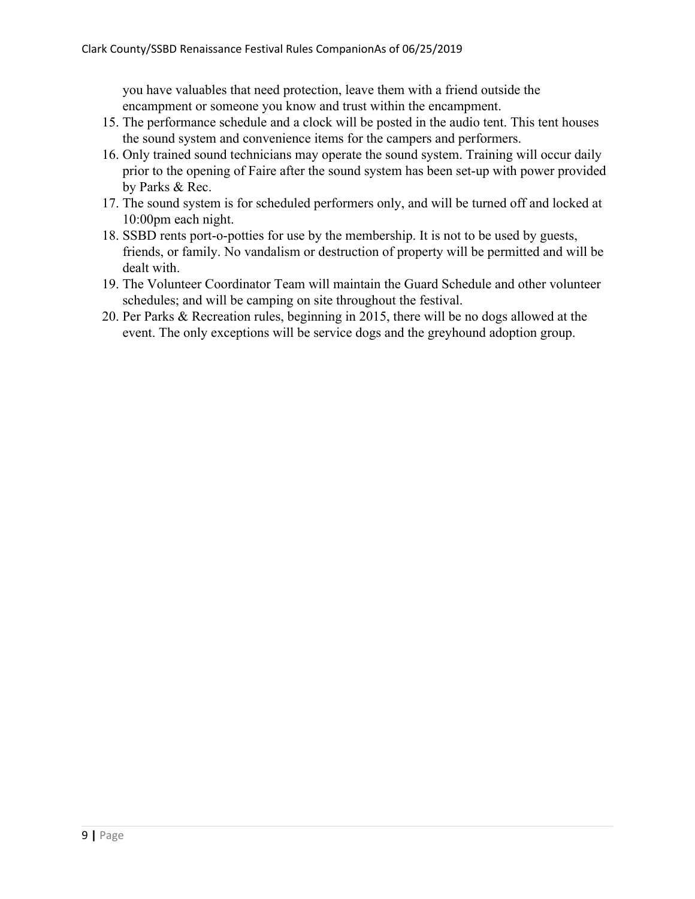you have valuables that need protection, leave them with a friend outside the encampment or someone you know and trust within the encampment.

- 15. The performance schedule and a clock will be posted in the audio tent. This tent houses the sound system and convenience items for the campers and performers.
- 16. Only trained sound technicians may operate the sound system. Training will occur daily prior to the opening of Faire after the sound system has been set-up with power provided by Parks & Rec.
- 17. The sound system is for scheduled performers only, and will be turned off and locked at 10:00pm each night.
- 18. SSBD rents port-o-potties for use by the membership. It is not to be used by guests, friends, or family. No vandalism or destruction of property will be permitted and will be dealt with.
- 19. The Volunteer Coordinator Team will maintain the Guard Schedule and other volunteer schedules; and will be camping on site throughout the festival.
- 20. Per Parks & Recreation rules, beginning in 2015, there will be no dogs allowed at the event. The only exceptions will be service dogs and the greyhound adoption group.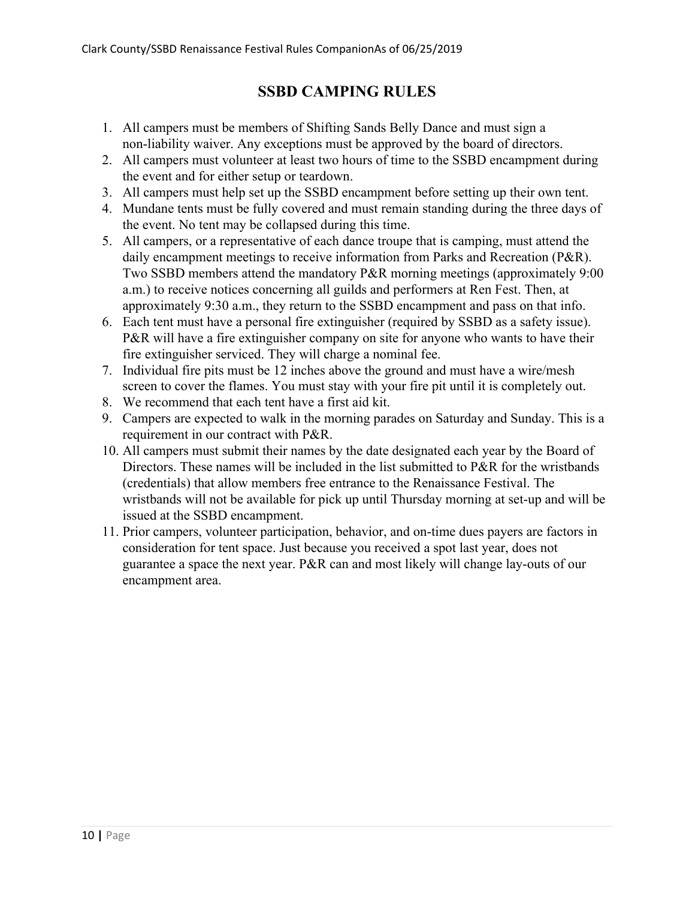# **SSBD CAMPING RULES**

- 1. All campers must be members of Shifting Sands Belly Dance and must sign a non-liability waiver. Any exceptions must be approved by the board of directors.
- 2. All campers must volunteer at least two hours of time to the SSBD encampment during the event and for either setup or teardown.
- 3. All campers must help set up the SSBD encampment before setting up their own tent.
- 4. Mundane tents must be fully covered and must remain standing during the three days of the event. No tent may be collapsed during this time.
- 5. All campers, or a representative of each dance troupe that is camping, must attend the daily encampment meetings to receive information from Parks and Recreation (P&R). Two SSBD members attend the mandatory P&R morning meetings (approximately 9:00 a.m.) to receive notices concerning all guilds and performers at Ren Fest. Then, at approximately 9:30 a.m., they return to the SSBD encampment and pass on that info.
- 6. Each tent must have a personal fire extinguisher (required by SSBD as a safety issue). P&R will have a fire extinguisher company on site for anyone who wants to have their fire extinguisher serviced. They will charge a nominal fee.
- 7. Individual fire pits must be 12 inches above the ground and must have a wire/mesh screen to cover the flames. You must stay with your fire pit until it is completely out.
- 8. We recommend that each tent have a first aid kit.
- 9. Campers are expected to walk in the morning parades on Saturday and Sunday. This is a requirement in our contract with P&R.
- 10. All campers must submit their names by the date designated each year by the Board of Directors. These names will be included in the list submitted to P&R for the wristbands (credentials) that allow members free entrance to the Renaissance Festival. The wristbands will not be available for pick up until Thursday morning at set-up and will be issued at the SSBD encampment.
- 11. Prior campers, volunteer participation, behavior, and on-time dues payers are factors in consideration for tent space. Just because you received a spot last year, does not guarantee a space the next year. P&R can and most likely will change lay-outs of our encampment area.